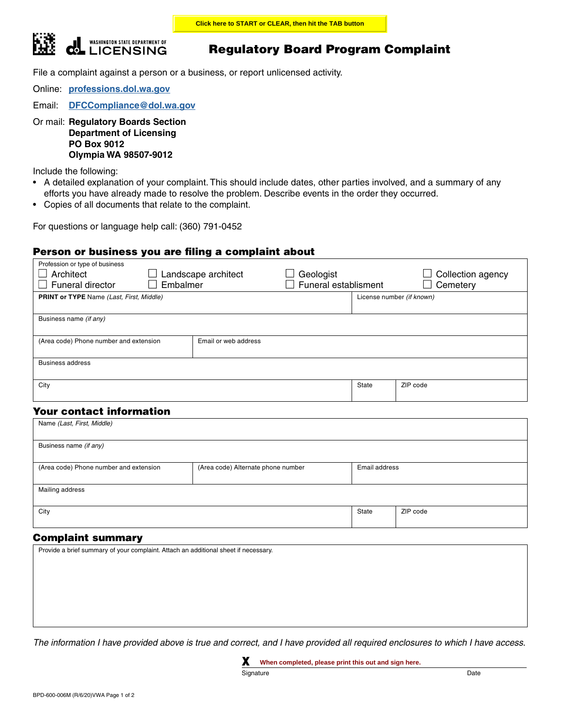

# Regulatory Board Program Complaint

File a complaint against a person or a business, or report unlicensed activity.

Online: **[professions.dol.wa.gov](https://professions.dol.wa.gov)**

Email: **[DFCCompliance@dol.wa.gov](mailto: DFCCompliance@dol.wa.gov)**

Or mail: **Regulatory Boards Section Department of Licensing PO Box 9012 Olympia WA 98507-9012**

Include the following:

- A detailed explanation of your complaint. This should include dates, other parties involved, and a summary of any efforts you have already made to resolve the problem. Describe events in the order they occurred.
- Copies of all documents that relate to the complaint.

For questions or language help call: (360) 791-0452

### Person or business you are filing a complaint about

| Profession or type of business<br>Architect<br>Landscape architect<br>Funeral director<br>Embalmer |                      | Geologist<br>Funeral establisment |                           | Collection agency<br>Cemetery |
|----------------------------------------------------------------------------------------------------|----------------------|-----------------------------------|---------------------------|-------------------------------|
| <b>PRINT or TYPE</b> Name (Last, First, Middle)                                                    |                      |                                   | License number (if known) |                               |
|                                                                                                    |                      |                                   |                           |                               |
| Business name (if any)                                                                             |                      |                                   |                           |                               |
| (Area code) Phone number and extension                                                             | Email or web address |                                   |                           |                               |
| <b>Business address</b>                                                                            |                      |                                   |                           |                               |
|                                                                                                    |                      |                                   |                           |                               |
| City                                                                                               |                      |                                   | State                     | ZIP code                      |
|                                                                                                    |                      |                                   |                           |                               |

## Your contact information

| Name (Last, First, Middle)             |                                    |               |          |  |  |  |
|----------------------------------------|------------------------------------|---------------|----------|--|--|--|
| Business name (if any)                 |                                    |               |          |  |  |  |
|                                        |                                    |               |          |  |  |  |
| (Area code) Phone number and extension | (Area code) Alternate phone number | Email address |          |  |  |  |
| Mailing address                        |                                    |               |          |  |  |  |
|                                        |                                    |               |          |  |  |  |
| City                                   |                                    | State         | ZIP code |  |  |  |
|                                        |                                    |               |          |  |  |  |

### Complaint summary

| Provide a brief summary of your complaint. Attach an additional sheet if necessary. |  |  |
|-------------------------------------------------------------------------------------|--|--|
|                                                                                     |  |  |
|                                                                                     |  |  |
|                                                                                     |  |  |
|                                                                                     |  |  |
|                                                                                     |  |  |
|                                                                                     |  |  |

*The information I have provided above is true and correct, and I have provided all required enclosures to which I have access.*

X **When completed, please print this out and sign here.**